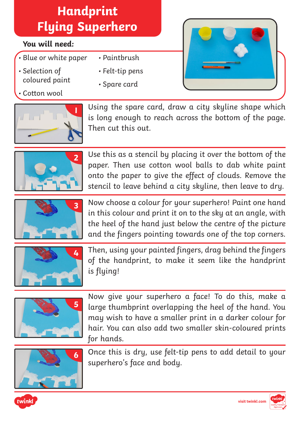## **Handprint Flying Superhero**

### **You will need:**

- Blue or white paper
- Selection of coloured paint
- Cotton wool
- Paintbrush
- Felt-tip pens
- Spare card



Using the spare card, draw a city skyline shape which is long enough to reach across the bottom of the page. Then cut this out.



Use this as a stencil by placing it over the bottom of the paper. Then use cotton wool balls to dab white paint onto the paper to give the effect of clouds. Remove the stencil to leave behind a city skyline, then leave to dry.



Now choose a colour for your superhero! Paint one hand in this colour and print it on to the sky at an angle, with the heel of the hand just below the centre of the picture and the fingers pointing towards one of the top corners.



Then, using your painted fingers, drag behind the fingers of the handprint, to make it seem like the handprint is flying!



Now give your superhero a face! To do this, make a large thumbprint overlapping the heel of the hand. You may wish to have a smaller print in a darker colour for hair. You can also add two smaller skin-coloured prints for hands.



Once this is dry, use felt-tip pens to add detail to your superhero's face and body.



**[visit twinkl.com](https://www.twinkl.co.uk/resources/craft-activities/craft-activity-fantasy/craft-activities-fantasy-superheroes)**

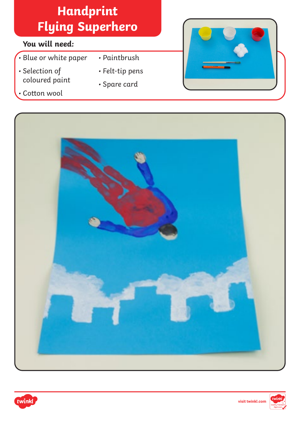## **Handprint Flying Superhero**

### **You will need:**

- Blue or white paper
- Selection of coloured paint
- Paintbrush
- 
- Cotton wool
- 
- Felt-tip pens
- Spare card







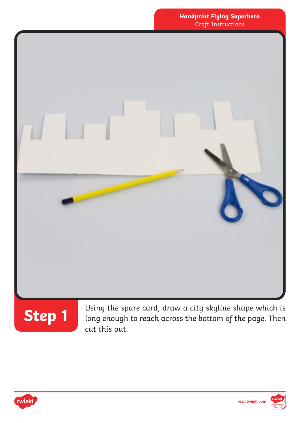



Using the spare card, draw a city skyline shape which is long enough to reach across the bottom of the page. Then cut this out.



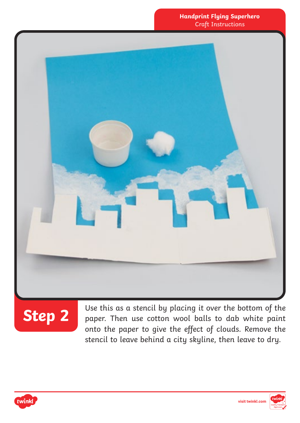

**Step 2** Use this as a stencil by placing it over the bottom of the paper. Then use cotton wool balls to dab white paint onto the paper to give the effect of clouds. Remove the stencil to leave behind a city skyline, then leave to dry.



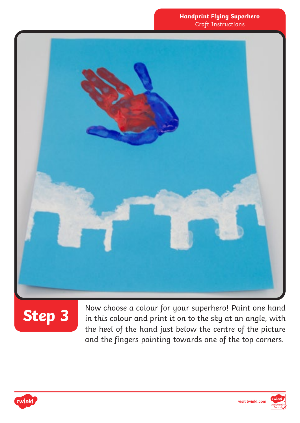

# **Step 3**

Now choose a colour for your superhero! Paint one hand in this colour and print it on to the sky at an angle, with the heel of the hand just below the centre of the picture and the fingers pointing towards one of the top corners.



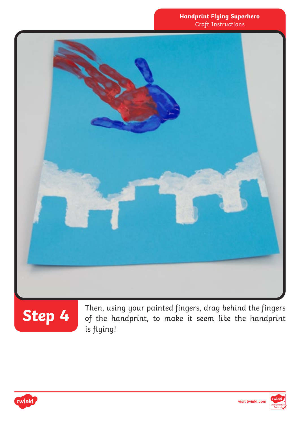



**Step 4** Then, using your painted fingers, drag behind the fingers of the handprint, to make it seem like the handprint is flying!



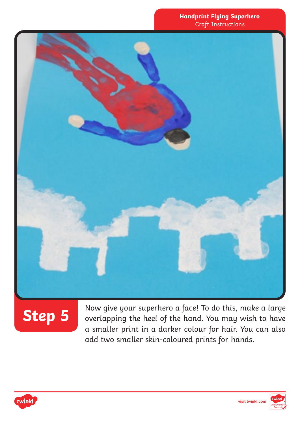

# **Step 5**

Now give your superhero a face! To do this, make a large overlapping the heel of the hand. You may wish to have a smaller print in a darker colour for hair. You can also add two smaller skin-coloured prints for hands.



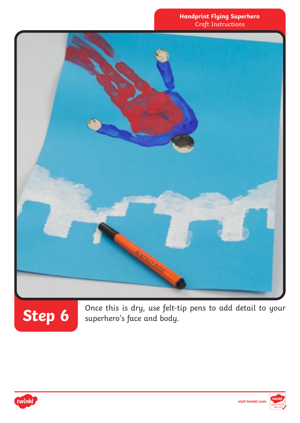

Step 6<sup>0</sup> once this is dry, use felt-tip pens to add detail to your superhero's face and body.